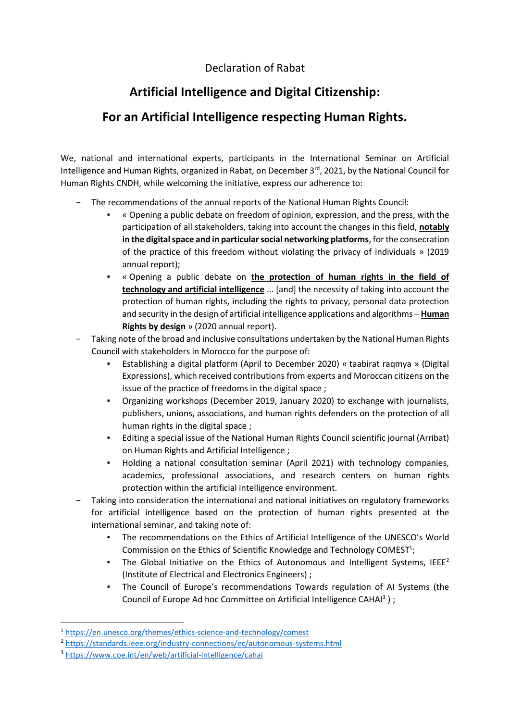## Declaration of Rabat

## **Artificial Intelligence and Digital Citizenship:**

## **For an Artificial Intelligence respecting Human Rights.**

We, national and international experts, participants in the International Seminar on Artificial Intelligence and Human Rights, organized in Rabat, on December 3<sup>rd</sup>, 2021, by the National Council for Human Rights CNDH, while welcoming the initiative, express our adherence to:

- − The recommendations of the annual reports of the National Human Rights Council:
	- « Opening a public debate on freedom of opinion, expression, and the press, with the participation of all stakeholders, taking into account the changes in this field, **notably in the digital space and in particular social networking platforms**, for the consecration of the practice of this freedom without violating the privacy of individuals » (2019 annual report);
	- « Opening a public debate on **the protection of human rights in the field of technology and artificial intelligence** ... [and] the necessity of taking into account the protection of human rights, including the rights to privacy, personal data protection and security in the design of artificial intelligence applications and algorithms – **Human Rights by design** » (2020 annual report).
- Taking note of the broad and inclusive consultations undertaken by the National Human Rights Council with stakeholders in Morocco for the purpose of:
	- Establishing a digital platform (April to December 2020) « taabirat raqmya » (Digital Expressions), which received contributions from experts and Moroccan citizens on the issue of the practice of freedoms in the digital space ;
	- Organizing workshops (December 2019, January 2020) to exchange with journalists, publishers, unions, associations, and human rights defenders on the protection of all human rights in the digital space ;
	- Editing a special issue of the National Human Rights Council scientific journal (Arribat) on Human Rights and Artificial Intelligence ;
	- Holding a national consultation seminar (April 2021) with technology companies, academics, professional associations, and research centers on human rights protection within the artificial intelligence environment.
- − Taking into consideration the international and national initiatives on regulatory frameworks for artificial intelligence based on the protection of human rights presented at the international seminar, and taking note of:
	- The recommendations on the Ethics of Artificial Intelligence of the UNESCO's World Commission on the Ethics of Scientific Knowledge and Technology COMEST<sup>1</sup>;
	- **•** The Global Initiative on the Ethics of Autonomous and Intelligent Systems, IEEE<sup>2</sup> (Institute of Electrical and Electronics Engineers) ;
	- The Council of Europe's recommendations Towards regulation of AI Systems (the Council of Europe Ad hoc Committee on Artificial Intelligence CAHAI<sup>3</sup>);

<sup>1</sup> <https://en.unesco.org/themes/ethics-science-and-technology/comest>

<sup>&</sup>lt;sup>2</sup> <https://standards.ieee.org/industry-connections/ec/autonomous-systems.html>

<sup>3</sup> <https://www.coe.int/en/web/artificial-intelligence/cahai>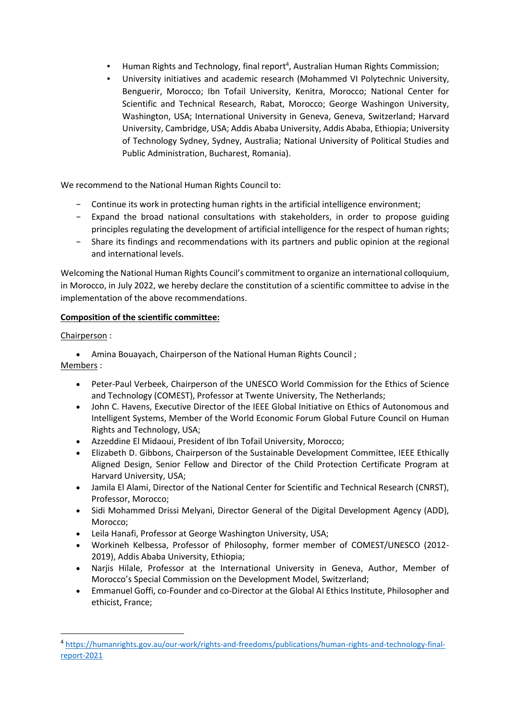- **E** Human Rights and Technology, final report<sup>4</sup>, Australian Human Rights Commission;
- University initiatives and academic research (Mohammed VI Polytechnic University, Benguerir, Morocco; Ibn Tofail University, Kenitra, Morocco; National Center for Scientific and Technical Research, Rabat, Morocco; George Washingon University, Washington, USA; International University in Geneva, Geneva, Switzerland; Harvard University, Cambridge, USA; Addis Ababa University, Addis Ababa, Ethiopia; University of Technology Sydney, Sydney, Australia; National University of Political Studies and Public Administration, Bucharest, Romania).

We recommend to the National Human Rights Council to:

- − Continue its work in protecting human rights in the artificial intelligence environment;
- − Expand the broad national consultations with stakeholders, in order to propose guiding principles regulating the development of artificial intelligence for the respect of human rights;
- − Share its findings and recommendations with its partners and public opinion at the regional and international levels.

Welcoming the National Human Rights Council's commitment to organize an international colloquium, in Morocco, in July 2022, we hereby declare the constitution of a scientific committee to advise in the implementation of the above recommendations.

## **Composition of the scientific committee:**

Chairperson :

• Amina Bouayach, Chairperson of the National Human Rights Council ;

Members :

- Peter-Paul Verbeek, Chairperson of the UNESCO World Commission for the Ethics of Science and Technology (COMEST), Professor at Twente University, The Netherlands;
- John C. Havens, Executive Director of the IEEE Global Initiative on Ethics of Autonomous and Intelligent Systems, Member of the World Economic Forum Global Future Council on Human Rights and Technology, USA;
- Azzeddine El Midaoui, President of Ibn Tofail University, Morocco;
- Elizabeth D. Gibbons, Chairperson of the Sustainable Development Committee, IEEE Ethically Aligned Design, Senior Fellow and Director of the Child Protection Certificate Program at Harvard University, USA;
- Jamila El Alami, Director of the National Center for Scientific and Technical Research (CNRST), Professor, Morocco;
- Sidi Mohammed Drissi Melyani, Director General of the Digital Development Agency (ADD), Morocco;
- Leila Hanafi, Professor at George Washington University, USA;
- Workineh Kelbessa, Professor of Philosophy, former member of COMEST/UNESCO (2012- 2019), Addis Ababa University, Ethiopia;
- Narjis Hilale, Professor at the International University in Geneva, Author, Member of Morocco's Special Commission on the Development Model, Switzerland;
- Emmanuel Goffi, co-Founder and co-Director at the Global AI Ethics Institute, Philosopher and ethicist, France;

<sup>4</sup> [https://humanrights.gov.au/our-work/rights-and-freedoms/publications/human-rights-and-technology-final](https://humanrights.gov.au/our-work/rights-and-freedoms/publications/human-rights-and-technology-final-report-2021)[report-2021](https://humanrights.gov.au/our-work/rights-and-freedoms/publications/human-rights-and-technology-final-report-2021)